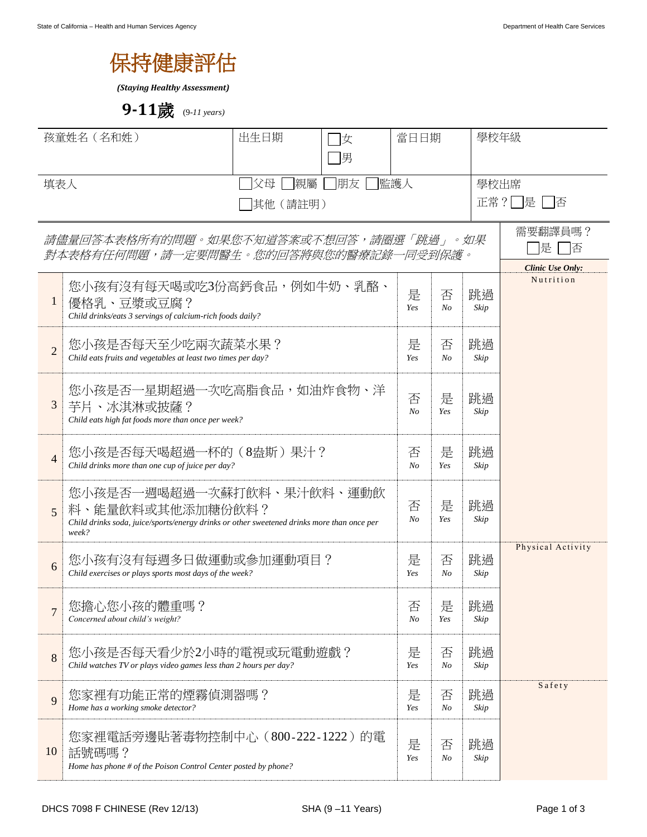

*(Staying Healthy Assessment)*

**9-11**歲 (9*-11 years)*

| 孩童姓名 (名和姓)                                                                      |                                                                                                                                                      | 出生日期<br> 女<br>〕男 |          | 當日日期       |                   |                                       | 學校年級      |  |
|---------------------------------------------------------------------------------|------------------------------------------------------------------------------------------------------------------------------------------------------|------------------|----------|------------|-------------------|---------------------------------------|-----------|--|
| 監護人<br>親屬<br>朋友<br>父母<br>填表人<br> 其他 (請註明)                                       |                                                                                                                                                      |                  |          |            |                   | 學校出席<br>正常?□是 □否                      |           |  |
| 請儘量回答本表格所有的問題。如果您不知道答案或不想回答,請圈選「跳過」。如果<br>對本表格有任何問題,請一定要問醫生。您的回答將與您的醫療記錄一同受到保護。 |                                                                                                                                                      |                  |          |            |                   | 需要翻譯員嗎?<br>提<br>俖<br>Clinic Use Only: |           |  |
| $\mathbf{1}$                                                                    | 您小孩有沒有每天喝或吃3份高鈣食品,例如牛奶、乳酪、<br>優格乳、豆漿或豆腐?<br>Child drinks/eats 3 servings of calcium-rich foods daily?                                                |                  |          |            |                   | 跳過<br>Skip                            | Nutrition |  |
| $\overline{2}$                                                                  | 您小孩是否每天至少吃兩次蔬菜水果?<br>Child eats fruits and vegetables at least two times per day?                                                                    |                  |          |            |                   | 跳過<br>Skip                            |           |  |
| 3                                                                               | 您小孩是否一星期超過一次吃高脂食品,如油炸食物、洋<br>芋片、冰淇淋或披薩?<br>Child eats high fat foods more than once per week?                                                        |                  |          |            |                   | 跳過<br>Skip                            |           |  |
| $\overline{4}$                                                                  | 您小孩是否每天喝超過一杯的(8盎斯)果汁?<br>Child drinks more than one cup of juice per day?                                                                            |                  |          |            |                   | 跳過<br>Skip                            |           |  |
| 5                                                                               | 您小孩是否一週喝超過一次蘇打飲料、果汁飲料、運動飲<br>料、能量飲料或其他添加糖份飲料?<br>Child drinks soda, juice/sports/energy drinks or other sweetened drinks more than once per<br>week? |                  |          |            |                   | 跳過<br>Skip                            |           |  |
| 6                                                                               | 您小孩有沒有每週多日做運動或參加運動項目?<br>Child exercises or plays sports most days of the week?                                                                      | 是<br>Yes         | 否<br>No  | 跳過<br>Skip | Physical Activity |                                       |           |  |
| $\overline{7}$                                                                  | 您擔心您小孩的體重嗎?<br>Concerned about child's weight?                                                                                                       | 否<br>No          | 是<br>Yes | 跳過<br>Skip |                   |                                       |           |  |
| 8                                                                               | 您小孩是否每天看少於2小時的電視或玩電動遊戲?<br>Child watches TV or plays video games less than 2 hours per day?                                                          | 是<br>Yes         | 否<br>No  | 跳過<br>Skip |                   |                                       |           |  |
| 9                                                                               | 您家裡有功能正常的煙霧偵測器嗎?<br>Home has a working smoke detector?                                                                                               | 是<br>Yes         | 否<br>No  | 跳過<br>Skip | Safety            |                                       |           |  |
| 10                                                                              | 您家裡電話旁邊貼著毒物控制中心(800-222-1222)的電<br>話號碼嗎?<br>Home has phone # of the Poison Control Center posted by phone?                                           | 是<br>Yes         | 否<br>No  | 跳過<br>Skip |                   |                                       |           |  |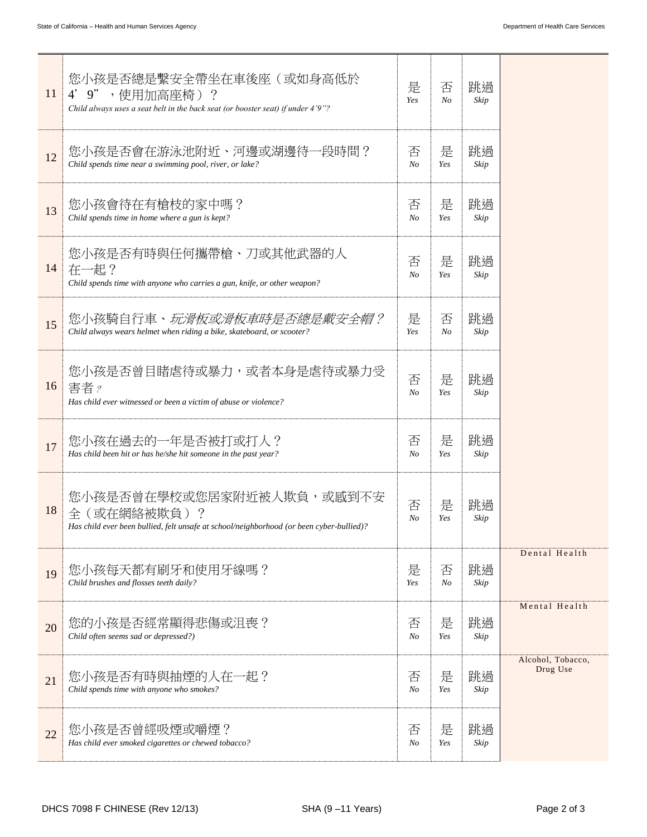| 11 | 您小孩是否總是繫安全帶坐在車後座(或如身高低於<br>4' 9", 使用加高座椅)?<br>Child always uses a seat belt in the back seat (or booster seat) if under 4'9"?        | 是<br>Yes            | 否<br>N <sub>o</sub> | 跳過<br>Skip |                               |
|----|--------------------------------------------------------------------------------------------------------------------------------------|---------------------|---------------------|------------|-------------------------------|
| 12 | 您小孩是否會在游泳池附近、河邊或湖邊待一段時間?<br>Child spends time near a swimming pool, river, or lake?                                                  | 否<br>$N_{O}$        | 是<br>Yes            | 跳過<br>Skip |                               |
| 13 | 您小孩會待在有槍枝的家中嗎?<br>Child spends time in home where a gun is kept?                                                                     | 否<br>N <sub>O</sub> | 是<br>Yes            | 跳過<br>Skip |                               |
| 14 | 您小孩是否有時與任何攜帶槍、刀或其他武器的人<br>在一起?<br>Child spends time with anyone who carries a gun, knife, or other weapon?                           | 否<br>N <sub>O</sub> | 是<br>Yes            | 跳過<br>Skip |                               |
| 15 | 您小孩騎自行車、 <i>玩滑板或滑板車時是否總是戴安全帽?</i><br>Child always wears helmet when riding a bike, skateboard, or scooter?                           | 是<br>Yes            | 否<br>No             | 跳過<br>Skip |                               |
| 16 | 您小孩是否曾目睹虐待或暴力,或者本身是虐待或暴力受<br>害者?<br>Has child ever witnessed or been a victim of abuse or violence?                                  | 否<br>N <sub>o</sub> | 是<br>Yes            | 跳過<br>Skip |                               |
| 17 | 您小孩在過去的一年是否被打或打人?<br>Has child been hit or has he/she hit someone in the past year?                                                  | 否<br>N <sub>O</sub> | 是<br>Yes            | 跳過<br>Skip |                               |
| 18 | 您小孩是否曾在學校或您居家附近被人欺負,或感到不安<br>全(或在網絡被欺負)?<br>Has child ever been bullied, felt unsafe at school/neighborhood (or been cyber-bullied)? | 否<br>N <sub>O</sub> | 是<br>Yes            | 跳過<br>Skip |                               |
| 19 | 您小孩每天都有刷牙和使用牙線嗎?<br>Child brushes and flosses teeth daily?                                                                           | 是<br>Yes            | 否<br>No             | 跳過<br>Skip | Dental Health                 |
| 20 | 您的小孩是否經常顯得悲傷或沮喪?<br>Child often seems sad or depressed?)                                                                             | 否<br>$N_{O}$        | 是<br>Yes            | 跳過<br>Skip | Mental Health                 |
| 21 | 您小孩是否有時與抽煙的人在一起?<br>Child spends time with anyone who smokes?                                                                        | 否<br>N <sub>O</sub> | 是<br>Yes            | 跳過<br>Skip | Alcohol, Tobacco,<br>Drug Use |
| 22 | 您小孩是否曾經吸煙或嚼煙?<br>Has child ever smoked cigarettes or chewed tobacco?                                                                 | 否<br>$N_{O}$        | 是<br>Yes            | 跳過<br>Skip |                               |